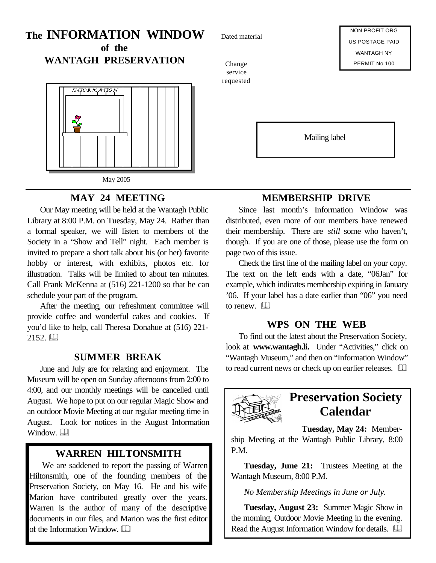# **The INFORMATION WINDOW of the**

**WANTAGH PRESERVATION**



### **MAY 24 MEETING**

Our May meeting will be held at the Wantagh Public Library at 8:00 P.M. on Tuesday, May 24. Rather than a formal speaker, we will listen to members of the Society in a "Show and Tell" night. Each member is invited to prepare a short talk about his (or her) favorite hobby or interest, with exhibits, photos etc. for illustration. Talks will be limited to about ten minutes. Call Frank McKenna at (516) 221-1200 so that he can schedule your part of the program.

After the meeting, our refreshment committee will provide coffee and wonderful cakes and cookies. If you'd like to help, call Theresa Donahue at (516) 221-  $2152. \Box$ 

### **SUMMER BREAK**

June and July are for relaxing and enjoyment. The Museum will be open on Sunday afternoons from 2:00 to 4:00, and our monthly meetings will be cancelled until August. We hope to put on our regular Magic Show and an outdoor Movie Meeting at our regular meeting time in August. Look for notices in the August Information Window.

### **WARREN HILTONSMITH**

We are saddened to report the passing of Warren Hiltonsmith, one of the founding members of the Preservation Society, on May 16. He and his wife Marion have contributed greatly over the years. Warren is the author of many of the descriptive documents in our files, and Marion was the first editor of the Information Window.  $\Box$ 

Dated material

Change service requested

NON PROFIT ORG US POSTAGE PAID WANTAGH NY PERMIT No 100

Mailing label

# **MEMBERSHIP DRIVE**

Since last month's Information Window was distributed, even more of our members have renewed their membership. There are *still* some who haven't, though. If you are one of those, please use the form on page two of this issue.

Check the first line of the mailing label on your copy. The text on the left ends with a date, "06Jan" for example, which indicates membership expiring in January '06. If your label has a date earlier than "06" you need to renew.  $\Box$ 

### **WPS ON THE WEB**

To find out the latest about the Preservation Society, look at **www.wantagh.li.** Under "Activities," click on "Wantagh Museum," and then on "Information Window" to read current news or check up on earlier releases.  $\Box$ 



# **Preservation Society Calendar**

**Tuesday, May 24:** Member-

ship Meeting at the Wantagh Public Library, 8:00 P.M.

**Tuesday, June 21:** Trustees Meeting at the Wantagh Museum, 8:00 P.M.

*No Membership Meetings in June or July.*

**Tuesday, August 23:** Summer Magic Show in the morning, Outdoor Movie Meeting in the evening. Read the August Information Window for details.  $\Box$